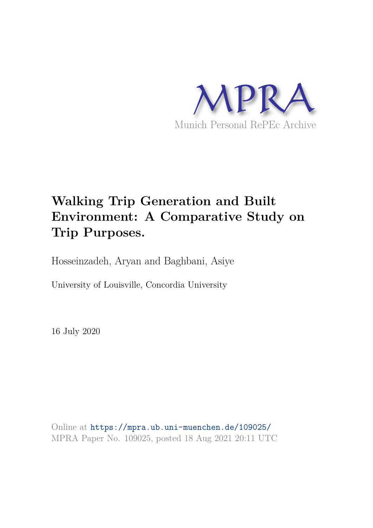

# **Walking Trip Generation and Built Environment: A Comparative Study on Trip Purposes.**

Hosseinzadeh, Aryan and Baghbani, Asiye

University of Louisville, Concordia University

16 July 2020

Online at https://mpra.ub.uni-muenchen.de/109025/ MPRA Paper No. 109025, posted 18 Aug 2021 20:11 UTC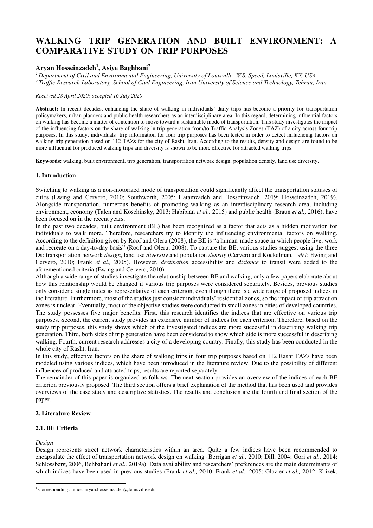# **WALKING TRIP GENERATION AND BUILT ENVIRONMENT: A COMPARATIVE STUDY ON TRIP PURPOSES**

# **Aryan Hosseinzadeh<sup>1</sup> , Asiye Baghbani<sup>2</sup>**

*<sup>1</sup>Department of Civil and Environmental Engineering, University of Louisville, W.S. Speed, Louisville, KY, USA* 

*<sup>2</sup>Traffic Research Laboratory, School of Civil Engineering, Iran University of Science and Technology, Tehran, Iran*

#### *Received 28 April 2020; accepted 16 July 2020*

**Abstract:** In recent decades, enhancing the share of walking in individuals' daily trips has become a priority for transportation policymakers, urban planners and public health researchers as an interdisciplinary area. In this regard, determining influential factors on walking has become a matter of contention to move toward a sustainable mode of transportation. This study investigates the impact of the influencing factors on the share of walking in trip generation from/to Traffic Analysis Zones (TAZ) of a city across four trip purposes. In this study, individuals' trip information for four trip purposes has been tested in order to detect influencing factors on walking trip generation based on 112 TAZs for the city of Rasht, Iran. According to the results, density and design are found to be more influential for produced walking trips and diversity is shown to be more effective for attracted walking trips.

**Keywords:** walking, built environment, trip generation, transportation network design, population density, land use diversity.

#### **1. Introduction**

Switching to walking as a non-motorized mode of transportation could significantly affect the transportation statuses of cities (Ewing and Cervero, 2010; Southworth, 2005; Hatamzadeh and Hosseinzadeh, 2019; Hosseinzadeh, 2019). Alongside transportation, numerous benefits of promoting walking as an interdisciplinary research area, including environment, economy (Talen and Koschinsky, 2013; Habibian *et al.,* 2015) and public health (Braun *et al.,* 2016), have been focused on in the recent years.

In the past two decades, built environment (BE) has been recognized as a factor that acts as a hidden motivation for individuals to walk more. Therefore, researchers try to identify the influencing environmental factors on walking. According to the definition given by Roof and Oleru (2008), the BE is "a human-made space in which people live, work and recreate on a day-to-day basis" (Roof and Oleru, 2008). To capture the BE, various studies suggest using the three Ds: transportation network *design*, land use *diversity* and population *density* (Cervero and Kockelman, 1997; Ewing and Cervero, 2010; Frank *et al.,* 2005). However, *destination* accessibility and *distance* to transit were added to the aforementioned criteria (Ewing and Cervero, 2010).

Although a wide range of studies investigate the relationship between BE and walking, only a few papers elaborate about how this relationship would be changed if various trip purposes were considered separately. Besides, previous studies only consider a single index as representative of each criterion, even though there is a wide range of proposed indices in the literature. Furthermore, most of the studies just consider individuals' residential zones, so the impact of trip attraction zones is unclear. Eventually, most of the objective studies were conducted in small zones in cities of developed countries. The study possesses five major benefits. First, this research identifies the indices that are effective on various trip purposes. Second, the current study provides an extensive number of indices for each criterion. Therefore, based on the study trip purposes, this study shows which of the investigated indices are more successful in describing walking trip generation. Third, both sides of trip generation have been considered to show which side is more successful in describing walking. Fourth, current research addresses a city of a developing country. Finally, this study has been conducted in the whole city of Rasht, Iran.

In this study, effective factors on the share of walking trips in four trip purposes based on 112 Rasht TAZs have been modeled using various indices, which have been introduced in the literature review. Due to the possibility of different influences of produced and attracted trips, results are reported separately.

The remainder of this paper is organized as follows. The next section provides an overview of the indices of each BE criterion previously proposed. The third section offers a brief explanation of the method that has been used and provides overviews of the case study and descriptive statistics. The results and conclusion are the fourth and final section of the paper.

## **2. Literature Review**

## **2.1. BE Criteria**

#### *Design*

Design represents street network characteristics within an area. Quite a few indices have been recommended to encapsulate the effect of transportation network design on walking (Berrigan *et al.,* 2010; Dill, 2004; Gori *et al.,* 2014; Schlossberg, 2006, Behbahani *et al.,* 2019a). Data availability and researchers' preferences are the main determinants of which indices have been used in previous studies (Frank *et al.,* 2010; Frank *et al.,* 2005; Glazier *et al.,* 2012; Krizek,

<sup>&</sup>lt;sup>1</sup> Corresponding author: aryan.hosseinzadeh@louisville.edu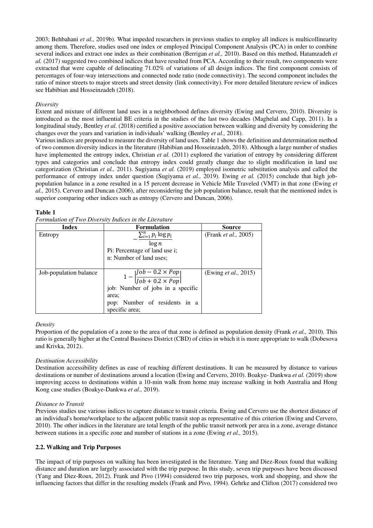2003; Behbahani *et al.,* 2019b). What impeded researchers in previous studies to employ all indices is multicollinearity among them. Therefore, studies used one index or employed Principal Component Analysis (PCA) in order to combine several indices and extract one index as their combination (Berrigan *et al.,* 2010). Based on this method, Hatamzadeh *et al.* (2017) suggested two combined indices that have resulted from PCA. According to their result, two components were extracted that were capable of delineating 71.02% of variations of all design indices. The first component consists of percentages of four-way intersections and connected node ratio (node connectivity). The second component includes the ratio of minor streets to major streets and street density (link connectivity). For more detailed literature review of indices see Habibian and Hosseinzadeh (2018).

#### *Diversity*

Extent and mixture of different land uses in a neighborhood defines diversity (Ewing and Cervero, 2010). Diversity is introduced as the most influential BE criteria in the studies of the last two decades (Maghelal and Capp, 2011). In a longitudinal study, Bentley *et al.* (2018) certified a positive association between walking and diversity by considering the changes over the years and variation in individuals' walking (Bentley *et al.,* 2018).

Various indices are proposed to measure the diversity of land uses. Table 1 shows the definition and determination method of two common diversity indices in the literature (Habibian and Hosseinzadeh, 2018). Although a large number of studies have implemented the entropy index, Christian *et al.* (2011) explored the variation of entropy by considering different types and categories and conclude that entropy index could greatly change due to slight modification in land use categorization (Christian *et al.,* 2011). Sugiyama *et al.* (2019) employed isometric substitution analysis and called the performance of entropy index under question (Sugiyama *et al.,* 2019). Ewing *et al.* (2015) conclude that high jobpopulation balance in a zone resulted in a 15 percent decrease in Vehicle Mile Traveled (VMT) in that zone (Ewing *et al.,* 2015). Cervero and Duncan (2006), after reconsidering the job population balance, result that the mentioned index is superior comparing other indices such as entropy (Cervero and Duncan, 2006).

#### **Table 1**

*Formulation of Two Diversity Indices in the Literature* 

| <b>Index</b>           | <b>Formulation</b>                                                     | <b>Source</b>                |
|------------------------|------------------------------------------------------------------------|------------------------------|
| Entropy                | $\sum_{i=1}^n p_i \log p_i$                                            | (Frank <i>et al.</i> , 2005) |
|                        | $\log n$                                                               |                              |
|                        | Pi: Percentage of land use i;                                          |                              |
|                        | n: Number of land uses;                                                |                              |
|                        |                                                                        |                              |
| Job-population balance | $1 - \left  \frac{job - 0.2 \times Pop}{job + 0.2 \times Pop} \right $ | (Ewing <i>et al.</i> , 2015) |
|                        | job: Number of jobs in a specific                                      |                              |
|                        | area;                                                                  |                              |
|                        | pop: Number of residents in a                                          |                              |
|                        | specific area;                                                         |                              |

#### *Density*

Proportion of the population of a zone to the area of that zone is defined as population density (Frank *et al.,* 2010). This ratio is generally higher at the Central Business District (CBD) of cities in which it is more appropriate to walk (Dobesova and Krivka, 2012).

#### *Destination Accessibility*

Destination accessibility defines as ease of reaching different destinations. It can be measured by distance to various destinations or number of destinations around a location (Ewing and Cervero, 2010). Boakye- Dankwa *et al.* (2019) show improving access to destinations within a 10-min walk from home may increase walking in both Australia and Hong Kong case studies (Boakye-Dankwa *et al.,* 2019).

#### *Distance to Transit*

Previous studies use various indices to capture distance to transit criteria. Ewing and Cervero use the shortest distance of an individual's home/workplace to the adjacent public transit stop as representative of this criterion (Ewing and Cervero, 2010). The other indices in the literature are total length of the public transit network per area in a zone, average distance between stations in a specific zone and number of stations in a zone (Ewing *et al.,* 2015).

#### **2.2. Walking and Trip Purposes**

The impact of trip purposes on walking has been investigated in the literature. Yang and Diez-Roux found that walking distance and duration are largely associated with the trip purpose. In this study, seven trip purposes have been discussed (Yang and Diez-Roux, 2012). Frank and Pivo (1994) considered two trip purposes, work and shopping, and show the influencing factors that differ in the resulting models (Frank and Pivo, 1994). Gehrke and Clifton (2017) considered two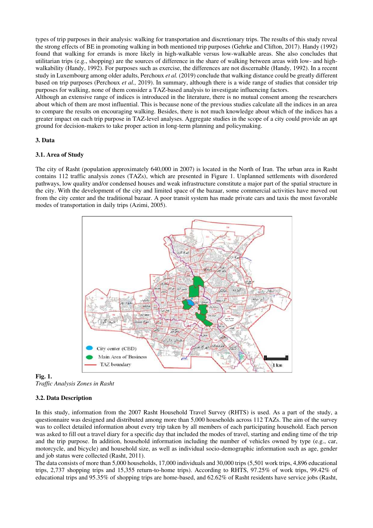types of trip purposes in their analysis: walking for transportation and discretionary trips. The results of this study reveal the strong effects of BE in promoting walking in both mentioned trip purposes (Gehrke and Clifton, 2017). Handy (1992) found that walking for errands is more likely in high-walkable versus low-walkable areas. She also concludes that utilitarian trips (e.g., shopping) are the sources of difference in the share of walking between areas with low- and highwalkability (Handy, 1992). For purposes such as exercise, the differences are not discernable (Handy, 1992). In a recent study in Luxembourg among older adults, Perchoux *et al.* (2019) conclude that walking distance could be greatly different based on trip purposes (Perchoux *et al.,* 2019). In summary, although there is a wide range of studies that consider trip purposes for walking, none of them consider a TAZ-based analysis to investigate influencing factors.

Although an extensive range of indices is introduced in the literature, there is no mutual consent among the researchers about which of them are most influential. This is because none of the previous studies calculate all the indices in an area to compare the results on encouraging walking. Besides, there is not much knowledge about which of the indices has a greater impact on each trip purpose in TAZ-level analyses. Aggregate studies in the scope of a city could provide an apt ground for decision-makers to take proper action in long-term planning and policymaking.

#### **3. Data**

#### **3.1. Area of Study**

The city of Rasht (population approximately 640,000 in 2007) is located in the North of Iran. The urban area in Rasht contains 112 traffic analysis zones (TAZs), which are presented in Figure 1. Unplanned settlements with disordered pathways, low quality and/or condensed houses and weak infrastructure constitute a major part of the spatial structure in the city. With the development of the city and limited space of the bazaar, some commercial activities have moved out from the city center and the traditional bazaar. A poor transit system has made private cars and taxis the most favorable modes of transportation in daily trips (Azimi, 2005).



**Fig. 1.** *Traffic Analysis Zones in Rasht*

#### **3.2. Data Description**

In this study, information from the 2007 Rasht Household Travel Survey (RHTS) is used. As a part of the study, a questionnaire was designed and distributed among more than 5,000 households across 112 TAZs. The aim of the survey was to collect detailed information about every trip taken by all members of each participating household. Each person was asked to fill out a travel diary for a specific day that included the modes of travel, starting and ending time of the trip and the trip purpose. In addition, household information including the number of vehicles owned by type (e.g., car, motorcycle, and bicycle) and household size, as well as individual socio-demographic information such as age, gender and job status were collected (Rasht, 2011).

The data consists of more than 5,000 households, 17,000 individuals and 30,000 trips (5,501 work trips, 4,896 educational trips, 2,737 shopping trips and 15,355 return-to-home trips). According to RHTS, 97.25% of work trips, 99.42% of educational trips and 95.35% of shopping trips are home-based, and 62.62% of Rasht residents have service jobs (Rasht,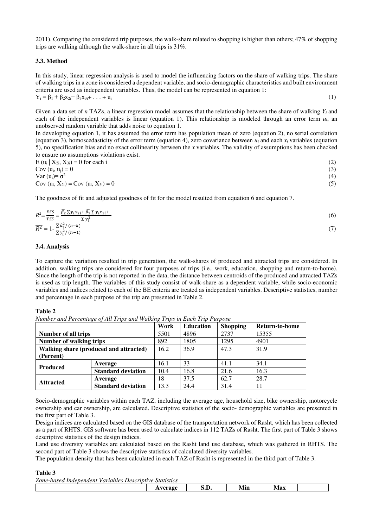2011). Comparing the considered trip purposes, the walk-share related to shopping is higher than others; 47% of shopping trips are walking although the walk-share in all trips is 31%.

#### **3.3. Method**

In this study, linear regression analysis is used to model the influencing factors on the share of walking trips. The share of walking trips in a zone is considered a dependent variable, and socio-demographic characteristics and built environment criteria are used as independent variables. Thus, the model can be represented in equation 1:  $Y_i = \beta_1 + \beta_2 x_{2i} + \beta_3 x_{3i} + \ldots + u_i$  (1)

Given a data set of *n* TAZs, a linear regression model assumes that the relationship between the share of walking *Yi* and each of the independent variables is linear (equation 1). This relationship is modeled through an error term  $u_i$ , an unobserved random variable that adds noise to equation 1.

In developing equation 1, it has assumed the error term has population mean of zero (equation 2), no serial correlation (equation 3), homoscedasticity of the error term (equation 4), zero covariance between  $u_i$  and each  $x_i$  variables (equation 5), no specification bias and no exact collinearity between the *x* variables. The validity of assumptions has been checked to ensure no assumptions violations exist.

 $E (u_i | X_{2i}, X_{3i}) = 0$  for each i (2)  $Cov (u_i, u_j) = 0$  (3) Var  $(u_i) = \sigma^2$  (4) Cov (u<sub>i</sub>,  $X_{2i}$ ) = Cov (u<sub>i</sub>,  $X_{3i}$ ) = 0 (5)

The goodness of fit and adjusted goodness of fit for the model resulted from equation 6 and equation 7.

$$
R^2 = \frac{ESS}{TSS} = \frac{\widehat{\beta_2} \sum y_i x_{2i} + \widehat{\beta_3} \sum y_i x_{3i} + \sum y_i^2}{\sum y_i^2}
$$
  
(6)  

$$
\overline{R^2} = 1 - \frac{\sum \widehat{u}_i^2 / (n - k)}{\sum y_i^2 / (n - 1)}
$$

#### **3.4. Analysis**

To capture the variation resulted in trip generation, the walk-shares of produced and attracted trips are considered. In addition, walking trips are considered for four purposes of trips (i.e., work, education, shopping and return-to-home). Since the length of the trip is not reported in the data, the distance between centroids of the produced and attracted TAZs is used as trip length. The variables of this study consist of walk-share as a dependent variable, while socio-economic variables and indices related to each of the BE criteria are treated as independent variables. Descriptive statistics, number and percentage in each purpose of the trip are presented in Table 2.

**Table 2** 

```
Number and Percentage of All Trips and Walking Trips in Each Trip Purpose
```

|                                        |                           | Work | <b>Education</b> | <b>Shopping</b> | Return-to-home |
|----------------------------------------|---------------------------|------|------------------|-----------------|----------------|
| Number of all trips                    |                           | 5501 | 4896             | 2737            | 15355          |
| <b>Number of walking trips</b>         |                           | 892  | 1805             | 1295            | 4901           |
| Walking share (produced and attracted) |                           | 16.2 | 36.9             | 47.3            | 31.9           |
| (Percent)                              |                           |      |                  |                 |                |
| <b>Produced</b>                        | Average                   | 16.1 | 33               | 41.1            | 34.1           |
|                                        | <b>Standard deviation</b> | 10.4 | 16.8             | 21.6            | 16.3           |
|                                        | Average                   | 18   | 37.5             | 62.7            | 28.7           |
| <b>Attracted</b>                       | <b>Standard deviation</b> | 13.3 | 24.4             | 31.4            | 11             |

Socio-demographic variables within each TAZ, including the average age, household size, bike ownership, motorcycle ownership and car ownership, are calculated. Descriptive statistics of the socio- demographic variables are presented in the first part of Table 3.

Design indices are calculated based on the GIS database of the transportation network of Rasht, which has been collected as a part of RHTS. GIS software has been used to calculate indices in 112 TAZs of Rasht. The first part of Table 3 shows descriptive statistics of the design indices.

Land use diversity variables are calculated based on the Rasht land use database, which was gathered in RHTS. The second part of Table 3 shows the descriptive statistics of calculated diversity variables.

The population density that has been calculated in each TAZ of Rasht is represented in the third part of Table 3.

#### **Table 3**

*Zone-based Independent Variables Descriptive Statistics*

|  |  | 'я от |  | - -<br>/LLL! | Max |  |
|--|--|-------|--|--------------|-----|--|
|  |  |       |  |              |     |  |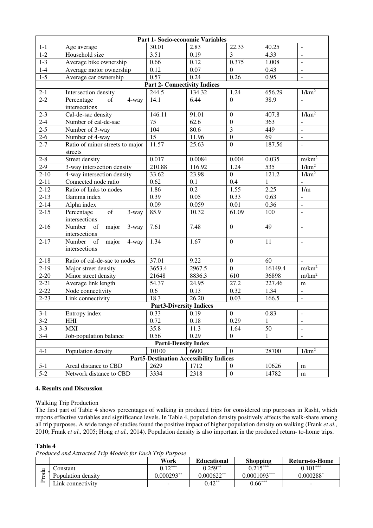| Part 1- Socio-economic Variables |                                                 |                                     |                                                |                         |              |                          |  |  |
|----------------------------------|-------------------------------------------------|-------------------------------------|------------------------------------------------|-------------------------|--------------|--------------------------|--|--|
| $1 - 1$                          | Age average                                     | 30.01                               | 2.83                                           | 22.33                   | 40.25        | $\blacksquare$           |  |  |
| $1 - 2$                          | Household size                                  | 3.51                                | 0.19                                           | 3                       | 4.33         | $\omega$                 |  |  |
| $1 - 3$                          | Average bike ownership                          | 0.66                                | 0.12                                           | 0.375                   | 1.008        | $\omega$                 |  |  |
| $1-4$                            | Average motor ownership                         | 0.12                                | 0.07                                           | $\mathbf{0}$            | 0.43         | $\omega$                 |  |  |
| $1 - 5$                          | Average car ownership                           | 0.57                                | 0.24                                           | 0.26                    | 0.95         | $\omega$                 |  |  |
|                                  |                                                 | <b>Part 2- Connectivity Indices</b> |                                                |                         |              |                          |  |  |
| $2 - 1$                          | Intersection density                            | 244.5                               | 134.32                                         | 1.24                    | 656.29       | 1/km <sup>2</sup>        |  |  |
| $2 - 2$                          | Percentage<br>of<br>4-way<br>intersections      | 14.1                                | 6.44                                           | $\boldsymbol{0}$        | 38.9         | $\Box$                   |  |  |
| $2 - 3$                          | Cal-de-sac density                              | 146.11                              | 91.01                                          | $\boldsymbol{0}$        | 407.8        | 1/km <sup>2</sup>        |  |  |
| $2-4$                            | Number of cal-de-sac                            | 75                                  | 62.6                                           | $\boldsymbol{0}$        | 363          | $\blacksquare$           |  |  |
| $2 - 5$                          | Number of 3-way                                 | 104                                 | 80.6                                           | $\overline{\mathbf{3}}$ | 449          | $\bar{\mathcal{L}}$      |  |  |
| $2 - 6$                          | Number of 4-way                                 | 15                                  | 11.96                                          | $\overline{0}$          | 69           | $\blacksquare$           |  |  |
| $2 - 7$                          | Ratio of minor streets to major<br>streets      | 11.57                               | 25.63                                          | $\boldsymbol{0}$        | 187.56       | $\omega$                 |  |  |
| $2 - 8$                          | Street density                                  | 0.017                               | 0.0084                                         | 0.004                   | 0.035        | m/km <sup>2</sup>        |  |  |
| $2-9$                            | 3-way intersection density                      | 210.88                              | 116.92                                         | 1.24                    | 535          | 1/km <sup>2</sup>        |  |  |
| $2 - 10$                         | 4-way intersection density                      | 33.62                               | 23.98                                          | $\overline{0}$          | 121.2        | 1/km <sup>2</sup>        |  |  |
| $2 - 11$                         | Connected node ratio                            | 0.62                                | 0.1                                            | 0.4                     | $\mathbf{1}$ |                          |  |  |
| $2 - 12$                         | Ratio of links to nodes                         | 1.86                                | 0.2                                            | 1.55                    | 2.25         | 1/m                      |  |  |
| $2 - 13$                         | Gamma index                                     | 0.39                                | 0.05                                           | 0.33                    | 0.63         | $\Box$                   |  |  |
| $2 - 14$                         | Alpha index                                     | 0.09                                | 0.059                                          | $0.01\,$                | 0.36         | $\omega$                 |  |  |
| $2 - 15$                         | of<br>Percentage<br>3-way<br>intersections      | 85.9                                | 10.32                                          | 61.09                   | 100          | $\mathbb{L}$             |  |  |
| $2 - 16$                         | Number<br>of<br>major<br>3-way<br>intersections | 7.61                                | 7.48                                           | $\boldsymbol{0}$        | 49           | $\bar{\phantom{a}}$      |  |  |
| $2 - 17$                         | Number<br>of<br>major<br>4-way<br>intersections | 1.34                                | 1.67                                           | $\mathbf{0}$            | 11           | $\mathbb{Z}^2$           |  |  |
| $2 - 18$                         | Ratio of cal-de-sac to nodes                    | 37.01                               | 9.22                                           | $\boldsymbol{0}$        | 60           | $\Box$                   |  |  |
| $2-19$                           | Major street density                            | 3653.4                              | 2967.5                                         | $\boldsymbol{0}$        | 16149.4      | m/km <sup>2</sup>        |  |  |
| $2 - 20$                         | Minor street density                            | 21648                               | 8836.3                                         | 610                     | 36898        | m/km <sup>2</sup>        |  |  |
| $2 - 21$                         | Average link length                             | 54.37                               | 24.95                                          | 27.2                    | 227.46       | m                        |  |  |
| $2 - 22$                         | Node connectivity                               | 0.6                                 | 0.13                                           | 0.32                    | 1.34         | $\omega$                 |  |  |
| $2 - 23$                         | Link connectivity                               | 18.3                                | $26.\overline{20}$                             | 0.03                    | 166.5        | $\blacksquare$           |  |  |
|                                  | <b>Part3-Diversity Indices</b>                  |                                     |                                                |                         |              |                          |  |  |
| $3-1$                            | Entropy index                                   | 0.33                                | 0.19                                           | $\boldsymbol{0}$        | 0.83         | $\sim$                   |  |  |
| $3-2$                            | <b>HHI</b>                                      | 0.72                                | 0.18                                           | 0.29                    | $\mathbf{1}$ | $\overline{\phantom{a}}$ |  |  |
| $3 - 3$                          | <b>MXI</b>                                      | 35.8                                | 11.3                                           | 1.64                    | 50           | $\blacksquare$           |  |  |
| $3-4$                            | Job-population balance                          | 0.56                                | 0.29                                           | $\overline{0}$          | 1            | $\blacksquare$           |  |  |
|                                  |                                                 | <b>Part4-Density Index</b>          |                                                |                         |              |                          |  |  |
| $4-1$                            | Population density                              | 10100                               | 6600                                           | $\boldsymbol{0}$        | 28700        | 1/km <sup>2</sup>        |  |  |
|                                  |                                                 |                                     | <b>Part5-Destination Accessibility Indices</b> |                         |              |                          |  |  |
| $5-1$                            | Areal distance to CBD                           | 2629                                | 1712                                           | $\boldsymbol{0}$        | 10626        | m                        |  |  |
| $5-2$                            | Network distance to CBD                         | 3334                                | 2318                                           | $\boldsymbol{0}$        | 14782        | m                        |  |  |

#### **4. Results and Discussion**

Walking Trip Production

The first part of Table 4 shows percentages of walking in produced trips for considered trip purposes in Rasht, which reports effective variables and significance levels. In Table 4, population density positively affects the walk-share among all trip purposes. A wide range of studies found the positive impact of higher population density on walking (Frank *et al.,* 2010; Frank *et al.,* 2005; Hong *et al.,* 2014). Population density is also important in the produced return- to-home trips.

# **Table 4**

*Produced and Attracted Trip Models for Each Trip Purpose*

|                                         |                    | Work         | <b>Educational</b> | <b>Shopping</b> | Return-to-Home |
|-----------------------------------------|--------------------|--------------|--------------------|-----------------|----------------|
| $\overline{\phantom{a}}$                | :`onstant          | $0.12***$    | $0.259**$          | $0.215***$      | $0.101***$     |
| ರ<br>∽<br>◡<br>$\overline{\phantom{0}}$ | Population density | $0.000293**$ | $0.000622**$       | $0.0001093***$  | $0.000288^*$   |
| ≏                                       | Link connectivity  |              | $0.42***$          | $0.66***$       | $\sim$         |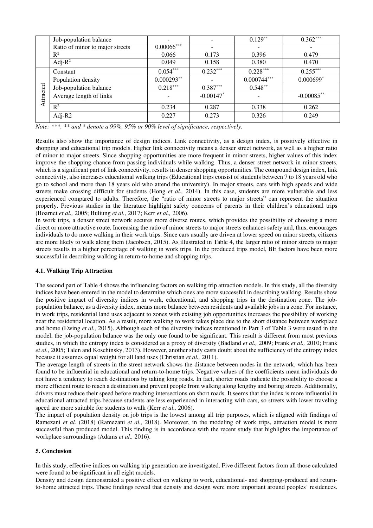|           | Job-population balance          |               | -                       | $0.129***$    | $0.362***$    |
|-----------|---------------------------------|---------------|-------------------------|---------------|---------------|
|           | Ratio of minor to major streets | $0.00066$ *** | ۰                       |               |               |
|           | $R^2$                           | 0.066         | 0.173                   | 0.396         | 0.479         |
|           | Adj- $R^2$                      | 0.049         | 0.158                   | 0.380         | 0.470         |
|           | Constant                        | $0.054***$    | $0.232***$              | $0.228***$    | $0.255***$    |
|           | Population density              | $0.000293**$  | -                       | $0.000744***$ | $0.000699*$   |
|           | Job-population balance          | $0.218***$    | $0.387***$              | $0.548**$     |               |
| Attracted | Average length of links         |               | $-0.00147$ <sup>*</sup> |               | $-0.00085$ ** |
|           | $R^2$                           | 0.234         | 0.287                   | 0.338         | 0.262         |
|           | Adj- $R2$                       | 0.227         | 0.273                   | 0.326         | 0.249         |

*Note: \*\*\*, \*\* and \* denote a 99%, 95% or 90% level of significance, respectively.* 

Results also show the importance of design indices. Link connectivity, as a design index, is positively effective in shopping and educational trip models. Higher link connectivity means a denser street network, as well as a higher ratio of minor to major streets. Since shopping opportunities are more frequent in minor streets, higher values of this index improve the shopping chance from passing individuals while walking. Thus, a denser street network in minor streets, which is a significant part of link connectivity, results in denser shopping opportunities. The compound design index, link connectivity, also increases educational walking trips (Educational trips consist of students between 7 to 18 years old who go to school and more than 18 years old who attend the university). In major streets, cars with high speeds and wide streets make crossing difficult for students (Hong *et al.,* 2014). In this case, students are more vulnerable and less experienced compared to adults. Therefore, the "ratio of minor streets to major streets" can represent the situation properly. Previous studies in the literature highlight safety concerns of parents in their children's educational trips (Boarnet *et al.,* 2005; Buliung *et al.,* 2017; Kerr *et al.,* 2006).

In work trips, a denser street network secures more diverse routes, which provides the possibility of choosing a more direct or more attractive route. Increasing the ratio of minor streets to major streets enhances safety and, thus, encourages individuals to do more walking in their work trips. Since cars usually are driven at lower speed on minor streets, citizens are more likely to walk along them (Jacobsen, 2015). As illustrated in Table 4, the larger ratio of minor streets to major streets results in a higher percentage of walking in work trips. In the produced trips model, BE factors have been more successful in describing walking in return-to-home and shopping trips.

#### **4.1. Walking Trip Attraction**

The second part of Table 4 shows the influencing factors on walking trip attraction models. In this study, all the diversity indices have been entered in the model to determine which ones are more successful in describing walking. Results show the positive impact of diversity indices in work, educational, and shopping trips in the destination zone. The jobpopulation balance, as a diversity index, means more balance between residents and available jobs in a zone. For instance, in work trips, residential land uses adjacent to zones with existing job opportunities increases the possibility of working near the residential location. As a result, more walking to work takes place due to the short distance between workplace and home (Ewing *et al.,* 2015). Although each of the diversity indices mentioned in Part 3 of Table 3 were tested in the model, the job-population balance was the only one found to be significant. This result is different from most previous studies, in which the entropy index is considered as a proxy of diversity (Badland *et al.,* 2009; Frank *et al.,* 2010; Frank *et al.,* 2005; Talen and Koschinsky, 2013). However, another study casts doubt about the [sufficiency](http://law.academic.ru/10559/sufficiency) of the entropy index because it assumes equal weight for all land uses (Christian *et al.,* 2011).

The average length of streets in the street network shows the distance between nodes in the network, which has been found to be influential in educational and return-to-home trips. Negative values of the coefficients mean individuals do not have a tendency to reach destinations by taking long roads. In fact, shorter roads indicate the possibility to choose a more efficient route to reach a destination and prevent people from walking along lengthy and boring streets. Additionally, drivers must reduce their speed before reaching intersections on short roads. It seems that the index is more influential in educational attracted trips because students are less experienced in interacting with cars, so streets with lower traveling speed are more suitable for students to walk (Kerr *et al.,* 2006).

The impact of population density on job trips is the lowest among all trip purposes, which is aligned with findings of Ramezani *et al.* (2018) (Ramezani *et al.,* 2018). Moreover, in the modeling of work trips, attraction model is more successful than produced model. This finding is in accordance with the recent study that highlights the importance of workplace surroundings (Adams *et al.,* 2016).

#### **5. Conclusion**

In this study, effective indices on walking trip generation are investigated. Five different factors from all those calculated were found to be significant in all eight models.

Density and design demonstrated a positive effect on walking to work, educational- and shopping-produced and returnto-home attracted trips. These findings reveal that density and design were more important around peoples' residences.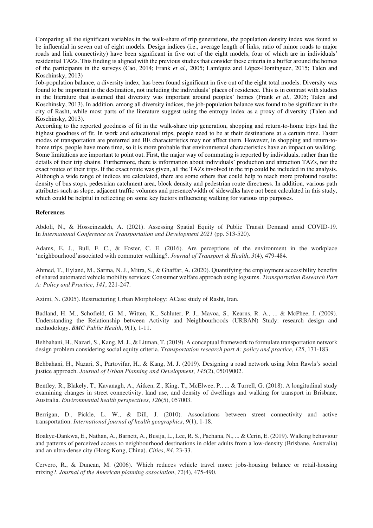Comparing all the significant variables in the walk-share of trip generations, the population density index was found to be influential in seven out of eight models. Design indices (i.e., average length of links, ratio of minor roads to major roads and link connectivity) have been significant in five out of the eight models, four of which are in individuals' residential TAZs. This finding is aligned with the previous studies that consider these criteria in a buffer around the homes of the participants in the surveys (Cao, 2014; Frank *et al.,* 2005; Lamíquiz and López-Domínguez, 2015; Talen and Koschinsky, 2013)

Job-population balance, a diversity index, has been found significant in five out of the eight total models. Diversity was found to be important in the destination, not including the individuals' places of residence. This is in contrast with studies in the literature that assumed that diversity was important around peoples' homes (Frank *et al.,* 2005; Talen and Koschinsky, 2013). In addition, among all diversity indices, the job-population balance was found to be significant in the city of Rasht, while most parts of the literature suggest using the entropy index as a proxy of diversity (Talen and Koschinsky, 2013).

According to the reported goodness of fit in the walk-share trip generation, shopping and return-to-home trips had the highest goodness of fit. In work and educational trips, people need to be at their destinations at a certain time. Faster modes of transportation are preferred and BE characteristics may not affect them. However, in shopping and return-tohome trips, people have more time, so it is more probable that environmental characteristics have an impact on walking. Some limitations are important to point out. First, the major way of commuting is reported by individuals, rather than the details of their trip chains. Furthermore, there is information about individuals' production and attraction TAZs, not the exact routes of their trips. If the exact route was given, all the TAZs involved in the trip could be included in the analysis. Although a wide range of indices are calculated, there are some others that could help to reach more profound results: density of bus stops, pedestrian catchment area, block density and pedestrian route directness. In addition, various path attributes such as slope, adjacent traffic volumes and presence/width of sidewalks have not been calculated in this study, which could be helpful in reflecting on some key factors influencing walking for various trip purposes.

#### **References**

Abdoli, N., & Hosseinzadeh, A. (2021). Assessing Spatial Equity of Public Transit Demand amid COVID-19. In *International Conference on Transportation and Development 2021* (pp. 513-520).

Adams, E. J., Bull, F. C., & Foster, C. E. (2016). Are perceptions of the environment in the workplace 'neighbourhood'associated with commuter walking?. *Journal of Transport & Health*, *3*(4), 479-484.

Ahmed, T., Hyland, M., Sarma, N. J., Mitra, S., & Ghaffar, A. (2020). Quantifying the employment accessibility benefits of shared automated vehicle mobility services: Consumer welfare approach using logsums. *Transportation Research Part A: Policy and Practice*, *141*, 221-247.

Azimi, N. (2005). Restructuring Urban Morphology: ACase study of Rasht, Iran.

Badland, H. M., Schofield, G. M., Witten, K., Schluter, P. J., Mavoa, S., Kearns, R. A., ... & McPhee, J. (2009). Understanding the Relationship between Activity and Neighbourhoods (URBAN) Study: research design and methodology. *BMC Public Health*, *9*(1), 1-11.

Behbahani, H., Nazari, S., Kang, M. J., & Litman, T. (2019). A conceptual framework to formulate transportation network design problem considering social equity criteria. *Transportation research part A: policy and practice*, *125*, 171-183.

Behbahani, H., Nazari, S., Partovifar, H., & Kang, M. J. (2019). Designing a road network using John Rawls's social justice approach. *Journal of Urban Planning and Development*, *145*(2), 05019002.

Bentley, R., Blakely, T., Kavanagh, A., Aitken, Z., King, T., McElwee, P., ... & Turrell, G. (2018). A longitudinal study examining changes in street connectivity, land use, and density of dwellings and walking for transport in Brisbane, Australia. *Environmental health perspectives*, *126*(5), 057003.

Berrigan, D., Pickle, L. W., & Dill, J. (2010). Associations between street connectivity and active transportation. *International journal of health geographics*, *9*(1), 1-18.

Boakye-Dankwa, E., Nathan, A., Barnett, A., Busija, L., Lee, R. S., Pachana, N., ... & Cerin, E. (2019). Walking behaviour and patterns of perceived access to neighbourhood destinations in older adults from a low-density (Brisbane, Australia) and an ultra-dense city (Hong Kong, China). *Cities*, *84*, 23-33.

Cervero, R., & Duncan, M. (2006). 'Which reduces vehicle travel more: jobs-housing balance or retail-housing mixing?. *Journal of the American planning association*, *72*(4), 475-490.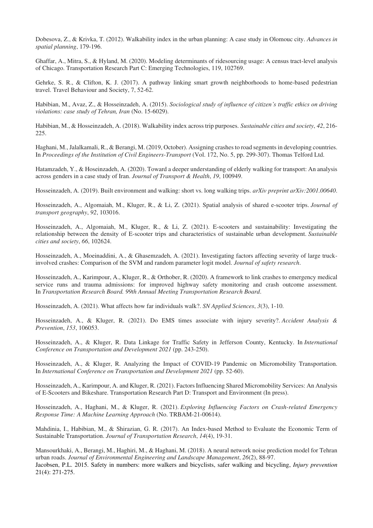Dobesova, Z., & Krivka, T. (2012). Walkability index in the urban planning: A case study in Olomouc city. *Advances in spatial planning*, 179-196.

Ghaffar, A., Mitra, S., & Hyland, M. (2020). Modeling determinants of ridesourcing usage: A census tract-level analysis of Chicago. Transportation Research Part C: Emerging Technologies, 119, 102769.

Gehrke, S. R., & Clifton, K. J. (2017). A pathway linking smart growth neighborhoods to home-based pedestrian travel. Travel Behaviour and Society, 7, 52-62.

Habibian, M., Avaz, Z., & Hosseinzadeh, A. (2015). *Sociological study of influence of citizen's traffic ethics on driving violations: case study of Tehran, Iran* (No. 15-6029).

Habibian, M., & Hosseinzadeh, A. (2018). Walkability index across trip purposes. *Sustainable cities and society*, *42*, 216- 225.

Haghani, M., Jalalkamali, R., & Berangi, M. (2019, October). Assigning crashes to road segments in developing countries. In *Proceedings of the Institution of Civil Engineers-Transport* (Vol. 172, No. 5, pp. 299-307). Thomas Telford Ltd.

Hatamzadeh, Y., & Hoseinzadeh, A. (2020). Toward a deeper understanding of elderly walking for transport: An analysis across genders in a case study of Iran. *Journal of Transport & Health*, *19*, 100949.

Hosseinzadeh, A. (2019). Built environment and walking: short vs. long walking trips. *arXiv preprint arXiv:2001.00640*.

Hosseinzadeh, A., Algomaiah, M., Kluger, R., & Li, Z. (2021). Spatial analysis of shared e-scooter trips. *Journal of transport geography*, *92*, 103016.

Hosseinzadeh, A., Algomaiah, M., Kluger, R., & Li, Z. (2021). E-scooters and sustainability: Investigating the relationship between the density of E-scooter trips and characteristics of sustainable urban development. *Sustainable cities and society*, *66*, 102624.

Hosseinzadeh, A., Moeinaddini, A., & Ghasemzadeh, A. (2021). Investigating factors affecting severity of large truckinvolved crashes: Comparison of the SVM and random parameter logit model. *Journal of safety research*.

Hosseinzadeh, A., Karimpour, A., Kluger, R., & Orthober, R. (2020). A framework to link crashes to emergency medical service runs and trauma admissions: for improved highway safety monitoring and crash outcome assessment. In *Transportation Research Board. 99th Annual Meeting Transportation Research Board*.

Hosseinzadeh, A. (2021). What affects how far individuals walk?. *SN Applied Sciences*, *3*(3), 1-10.

Hosseinzadeh, A., & Kluger, R. (2021). Do EMS times associate with injury severity?. *Accident Analysis & Prevention*, *153*, 106053.

Hosseinzadeh, A., & Kluger, R. Data Linkage for Traffic Safety in Jefferson County, Kentucky. In *International Conference on Transportation and Development 2021* (pp. 243-250).

Hosseinzadeh, A., & Kluger, R. Analyzing the Impact of COVID-19 Pandemic on Micromobility Transportation. In *International Conference on Transportation and Development 2021* (pp. 52-60).

Hosseinzadeh, A., Karimpour, A. and Kluger, R. (2021). Factors Influencing Shared Micromobility Services: An Analysis of E-Scooters and Bikeshare. Transportation Research Part D: Transport and Environment (In press).

Hosseinzadeh, A., Haghani, M., & Kluger, R. (2021). *Exploring Influencing Factors on Crash-related Emergency Response Time: A Machine Learning Approach* (No. TRBAM-21-00614).

Mahdinia, I., Habibian, M., & Shirazian, G. R. (2017). An Index-based Method to Evaluate the Economic Term of Sustainable Transportation. *Journal of Transportation Research*, *14*(4), 19-31.

Mansourkhaki, A., Berangi, M., Haghiri, M., & Haghani, M. (2018). A neural network noise prediction model for Tehran urban roads. *Journal of Environmental Engineering and Landscape Management*, *26*(2), 88-97. Jacobsen, P.L. 2015. Safety in numbers: more walkers and bicyclists, safer walking and bicycling, *Injury prevention* 21(4): 271-275.